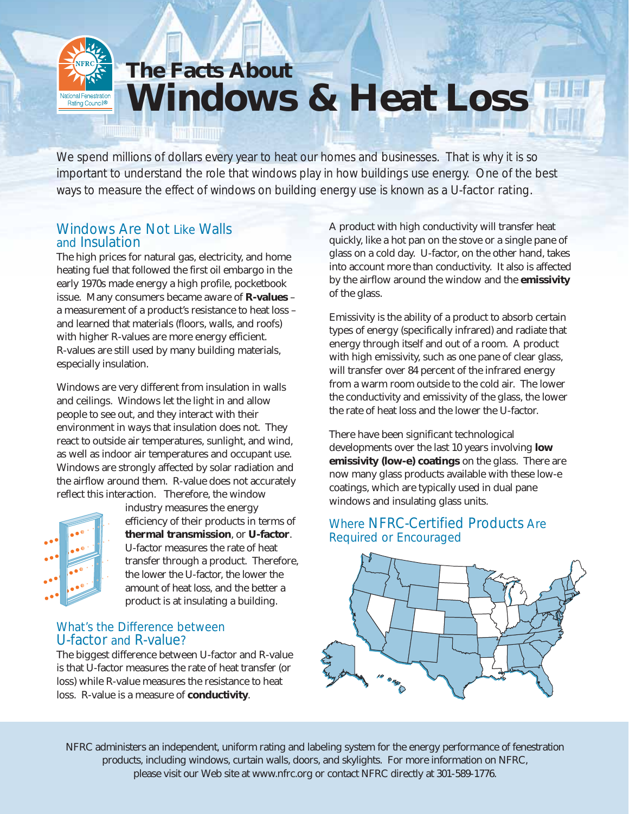# **The Facts About Windows & Heat Loss Vational Fenestration** Rating Council<sup>®</sup>

We spend millions of dollars every year to heat our homes and businesses. That is why it is so important to understand the role that windows play in how buildings use energy. One of the best ways to measure the effect of windows on building energy use is known as a U-factor rating.

# Windows Are Not Like Walls and Insulation

المعادل المستحد

The high prices for natural gas, electricity, and home heating fuel that followed the first oil embargo in the early 1970s made energy a high profile, pocketbook issue. Many consumers became aware of **R-values** – a measurement of a product's resistance to heat loss – and learned that materials (floors, walls, and roofs) with higher R-values are more energy efficient. R-values are still used by many building materials, especially insulation.

Windows are very different from insulation in walls and ceilings. Windows let the light in and allow people to see out, and they interact with their environment in ways that insulation does not. They react to outside air temperatures, sunlight, and wind, as well as indoor air temperatures and occupant use. Windows are strongly affected by solar radiation and the airflow around them. R-value does not accurately reflect this interaction. Therefore, the window



industry measures the energy efficiency of their products in terms of **thermal transmission**, or **U-factor**. U-factor measures the rate of heat transfer through a product. Therefore, *the lower the U-factor, the lower the amount of heat loss*, and the better a product is at insulating a building.

#### What's the Difference between U-factor and R-value?

The biggest difference between U-factor and R-value is that U-factor measures the rate of heat transfer (or loss) while R-value measures the resistance to heat loss. R-value is a measure of **conductivity**.

A product with high conductivity will transfer heat quickly, like a hot pan on the stove or a single pane of glass on a cold day. U-factor, on the other hand, takes into account more than conductivity. It also is affected by the airflow around the window and the **emissivity** of the glass.

Emissivity is the ability of a product to absorb certain types of energy (specifically infrared) and radiate that energy through itself and out of a room. A product with high emissivity, such as one pane of clear glass, will transfer over 84 percent of the infrared energy from a warm room outside to the cold air. The lower the conductivity and emissivity of the glass, the lower the rate of heat loss and the lower the U-factor.

There have been significant technological developments over the last 10 years involving **low emissivity (low-e) coatings** on the glass. There are now many glass products available with these low-e coatings, which are typically used in dual pane windows and insulating glass units.

### Where NFRC-Certified Products Are Required or Encouraged



*NFRC administers an independent, uniform rating and labeling system for the energy performance of fenestration products, including windows, curtain walls, doors, and skylights. For more information on NFRC, please visit our Web site at www.nfrc.org or contact NFRC directly at 301-589-1776.*